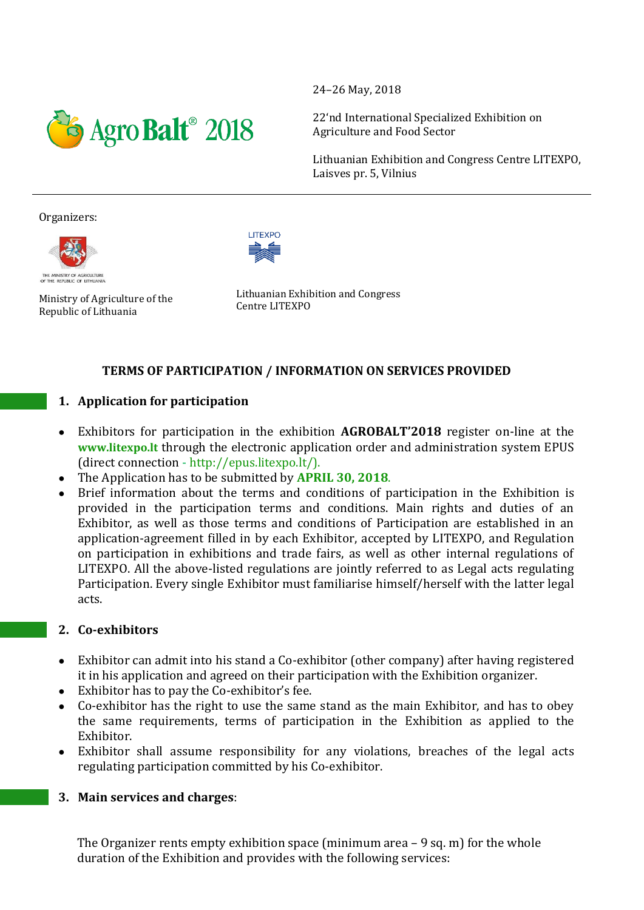

24–26 May, 2018

22'nd International Specialized Exhibition on Agriculture and Food Sector

Lithuanian Exhibition and Congress Centre LITEXPO, Laisves pr. 5, Vilnius

#### Organizers:





Ministry of Agriculture of the Republic of Lithuania

Lithuanian Exhibition and Congress Centre LITEXPO

# **TERMS OF PARTICIPATION / INFORMATION ON SERVICES PROVIDED**

# **1. Application for participation**

- Exhibitors for participation in the exhibition **AGROBALT'2018** register on-line at the **www.litexpo.lt** through the electronic application order and administration system EPUS (direct connection - http://epus.litexpo.lt/).
- The Application has to be submitted by **APRIL 30, 2018**.
- Brief information about the terms and conditions of participation in the Exhibition is provided in the participation terms and conditions. Main rights and duties of an Exhibitor, as well as those terms and conditions of Participation are established in an application-agreement filled in by each Exhibitor, accepted by LITEXPO, and Regulation on participation in exhibitions and trade fairs, as well as other internal regulations of LITEXPO. All the above-listed regulations are jointly referred to as Legal acts regulating Participation. Every single Exhibitor must familiarise himself/herself with the latter legal acts.

# **2. Co-exhibitors**

- Exhibitor can admit into his stand a Co-exhibitor (other company) after having registered it in his application and agreed on their participation with the Exhibition organizer.
- Exhibitor has to pay the Co-exhibitor's fee.
- Co-exhibitor has the right to use the same stand as the main Exhibitor, and has to obey the same requirements, terms of participation in the Exhibition as applied to the Exhibitor.
- Exhibitor shall assume responsibility for any violations, breaches of the legal acts regulating participation committed by his Co-exhibitor.

# **3. Main services and charges**:

The Organizer rents empty exhibition space (minimum area – 9 sq. m) for the whole duration of the Exhibition and provides with the following services: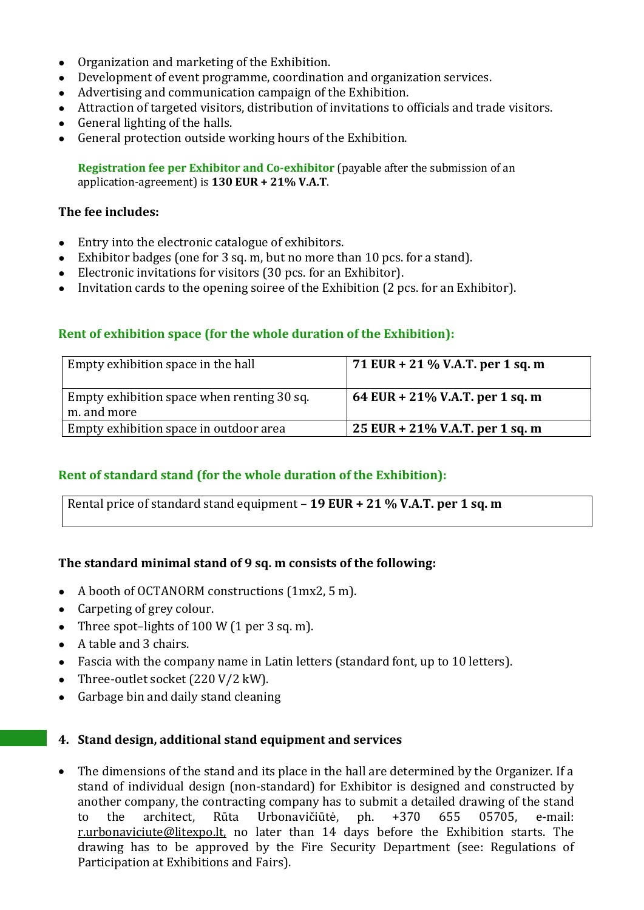- Organization and marketing of the Exhibition.
- Development of event programme, coordination and organization services.
- Advertising and communication campaign of the Exhibition.
- Attraction of targeted visitors, distribution of invitations to officials and trade visitors.
- $\bullet$  General lighting of the halls.
- General protection outside working hours of the Exhibition.

**Registration fee per Exhibitor and Co-exhibitor** (payable after the submission of an application-agreement) is **130 EUR + 21% V.A.T**.

# **The fee includes:**

- Entry into the electronic catalogue of exhibitors.
- Exhibitor badges (one for 3 sq. m, but no more than 10 pcs. for a stand).
- Electronic invitations for visitors (30 pcs. for an Exhibitor).
- Invitation cards to the opening soiree of the Exhibition (2 pcs. for an Exhibitor).

# **Rent of exhibition space (for the whole duration of the Exhibition):**

| Empty exhibition space in the hall                        | 71 EUR + 21 % V.A.T. per 1 sq. m |
|-----------------------------------------------------------|----------------------------------|
| Empty exhibition space when renting 30 sq.<br>m. and more | 64 EUR + 21% V.A.T. per 1 sq. m  |
| Empty exhibition space in outdoor area                    | 25 EUR + 21% V.A.T. per 1 sq. m  |

# **Rent of standard stand (for the whole duration of the Exhibition):**

Rental price of standard stand equipment – **19 EUR + 21 % V.A.T. per 1 sq. m** 

# **The standard minimal stand of 9 sq. m consists of the following:**

- A booth of OCTANORM constructions (1mx2, 5 m).
- Carpeting of grey colour.
- Three spot–lights of  $100 W (1 per 3 sq. m)$ .
- A table and 3 chairs.
- Fascia with the company name in Latin letters (standard font, up to 10 letters).
- Three-outlet socket (220 V/2 kW).
- Garbage bin and daily stand cleaning

# **4. Stand design, additional stand equipment and services**

 The dimensions of the stand and its place in the hall are determined by the Organizer. If a stand of individual design (non-standard) for Exhibitor is designed and constructed by another company, the contracting company has to submit a detailed drawing of the stand to the architect, Rūta Urbonavičiūtė, ph. +370 655 05705, e-mail: [r.urbonaviciute@litexpo.lt,](mailto:r.urbonaviciute@litexpo.lt) no later than 14 days before the Exhibition starts. The drawing has to be approved by the Fire Security Department (see: Regulations of Participation at Exhibitions and Fairs).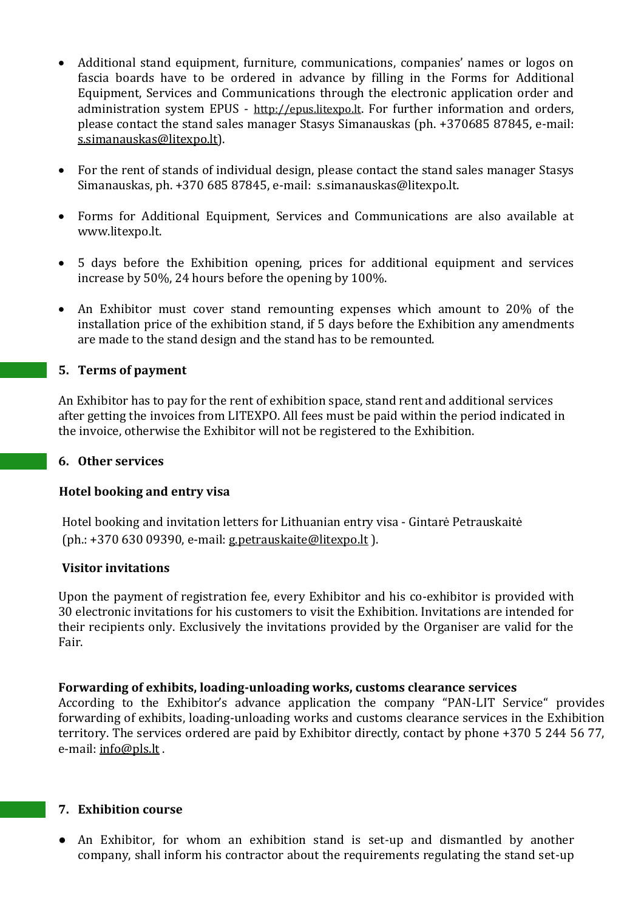- Additional stand equipment, furniture, communications, companies' names or logos on fascia boards have to be ordered in advance by filling in the Forms for Additional Equipment, Services and Communications through the electronic application order and administration system EPUS - [http://epus.litexpo.lt](http://epus.litexpo.lt/). For further information and orders. please contact the stand sales manager Stasys Simanauskas (ph. +370685 87845, e-mail: [s.simanauskas@litexpo.lt\)](mailto:s.simanauskas@litexpo.lt).
- For the rent of stands of individual design, please contact the stand sales manager Stasys Simanauskas, ph. +370 685 87845, e-mail: s.simanauskas@litexpo.lt.
- Forms for Additional Equipment, Services and Communications are also available at [www.litexpo.lt.](http://www.litexpo.lt/)
- 5 days before the Exhibition opening, prices for additional equipment and services increase by 50%, 24 hours before the opening by 100%.
- An Exhibitor must cover stand remounting expenses which amount to 20% of the installation price of the exhibition stand, if 5 days before the Exhibition any amendments are made to the stand design and the stand has to be remounted.

### **5. Terms of payment**

An Exhibitor has to pay for the rent of exhibition space, stand rent and additional services after getting the invoices from LITEXPO. All fees must be paid within the period indicated in the invoice, otherwise the Exhibitor will not be registered to the Exhibition.

#### **6. Other services**

#### **Hotel booking and entry visa**

Hotel booking and invitation letters for Lithuanian entry visa - Gintarė Petrauskaitė (ph.: +370 630 09390, e-mail[: g.petrauskaite@litexpo.lt](mailto:g.petrauskaite@litexpo.lt) ).

#### **Visitor invitations**

Upon the payment of registration fee, every Exhibitor and his co-exhibitor is provided with 30 electronic invitations for his customers to visit the Exhibition. Invitations are intended for their recipients only. Exclusively the invitations provided by the Organiser are valid for the Fair.

#### **Forwarding of exhibits, loading-unloading works, customs clearance services**

According to the Exhibitor's advance application the company "PAN-LIT Service" provides forwarding of exhibits, loading-unloading works and customs clearance services in the Exhibition territory. The services ordered are paid by Exhibitor directly, contact by phone +370 5 244 56 77, e-mail: [info@pls.lt](mailto:info@pls.lt) .

### **7. Exhibition course**

An Exhibitor, for whom an exhibition stand is set-up and dismantled by another company, shall inform his contractor about the requirements regulating the stand set-up